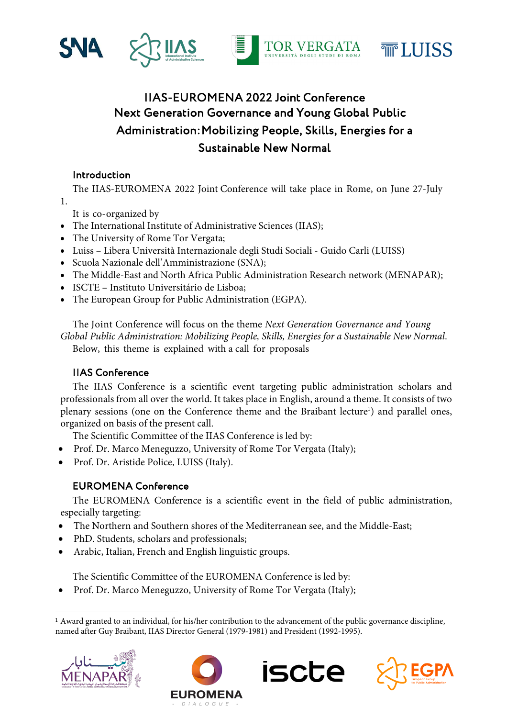

# IIAS-EUROMENA 2022 Joint Conference Next Generation Governance and Young Global Public Administration: Mobilizing People, Skills, Energies for a Sustainable New Normal

## Introduction

The IIAS-EUROMENA 2022 Joint Conference will take place in Rome, on June 27-July 1.

It is co-organized by

- The International Institute of Administrative Sciences (IIAS);
- The University of Rome Tor Vergata;
- Luiss Libera Università Internazionale degli Studi Sociali Guido Carli (LUISS)
- Scuola Nazionale dell'Amministrazione (SNA);
- The Middle-East and North Africa Public Administration Research network (MENAPAR);
- ISCTE Instituto Universitário de Lisboa;
- The European Group for Public Administration (EGPA).

The Joint Conference will focus on the theme *Next Generation Governance and Young Global Public Administration: Mobilizing People, Skills, Energies for a Sustainable New Normal*. Below, this theme is explained with a call for proposals

## IIAS Conference

The IIAS Conference is a scientific event targeting public administration scholars and professionals from all over the world. It takes place in English, around a theme. It consists of two plenary sessions (one on the Conference theme and the Braibant lecture<sup>1</sup>) and parallel ones, organized on basis of the present call.

The Scientific Committee of the IIAS Conference is led by:

- Prof. Dr. Marco Meneguzzo, University of Rome Tor Vergata (Italy);
- Prof. Dr. Aristide Police, LUISS (Italy).

## EUROMENA Conference

The EUROMENA Conference is a scientific event in the field of public administration, especially targeting:

- The Northern and Southern shores of the Mediterranean see, and the Middle-East;
- PhD. Students, scholars and professionals;
- Arabic, Italian, French and English linguistic groups.

The Scientific Committee of the EUROMENA Conference is led by:

• Prof. Dr. Marco Meneguzzo, University of Rome Tor Vergata (Italy);

<sup>1</sup> Award granted to an individual, for his/her contribution to the advancement of the public governance discipline, named after Guy Braibant, IIAS Director General (1979-1981) and President (1992-1995).







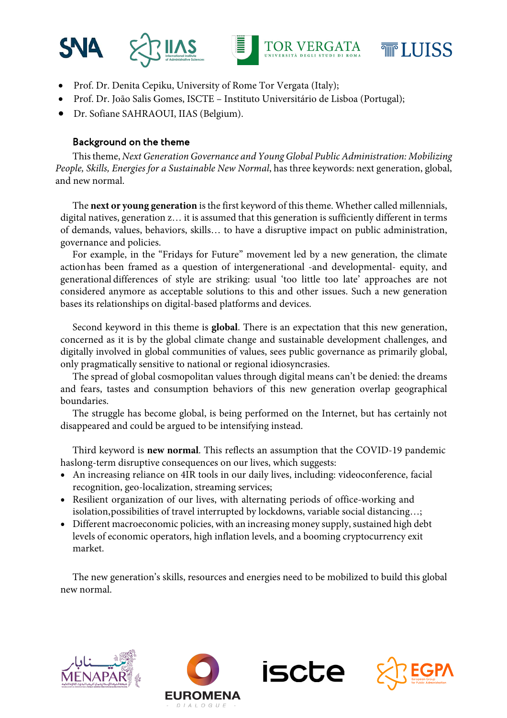



- Prof. Dr. Denita Cepiku, University of Rome Tor Vergata (Italy);
- Prof. Dr. João Salis Gomes, ISCTE Instituto Universitário de Lisboa (Portugal);
- Dr. Sofiane SAHRAOUI, IIAS (Belgium).

## Background on the theme

Thistheme, *Next Generation Governance and Young Global Public Administration: Mobilizing People, Skills, Energies for a Sustainable New Normal*, has three keywords: next generation, global, and new normal.

The **next or young generation** is the first keyword of this theme. Whether called millennials, digital natives, generation z… it is assumed that this generation is sufficiently different in terms of demands, values, behaviors, skills… to have a disruptive impact on public administration, governance and policies.

For example, in the "Fridays for Future" movement led by a new generation, the climate actionhas been framed as a question of intergenerational -and developmental- equity, and generational differences of style are striking: usual 'too little too late' approaches are not considered anymore as acceptable solutions to this and other issues. Such a new generation bases its relationships on digital-based platforms and devices.

Second keyword in this theme is **global**. There is an expectation that this new generation, concerned as it is by the global climate change and sustainable development challenges, and digitally involved in global communities of values, sees public governance as primarily global, only pragmatically sensitive to national or regional idiosyncrasies.

The spread of global cosmopolitan values through digital means can't be denied: the dreams and fears, tastes and consumption behaviors of this new generation overlap geographical boundaries.

The struggle has become global, is being performed on the Internet, but has certainly not disappeared and could be argued to be intensifying instead.

Third keyword is **new normal**. This reflects an assumption that the COVID-19 pandemic haslong-term disruptive consequences on our lives, which suggests:

- An increasing reliance on 4IR tools in our daily lives, including: videoconference, facial recognition, geo-localization, streaming services;
- Resilient organization of our lives, with alternating periods of office-working and isolation,possibilities of travel interrupted by lockdowns, variable social distancing…;
- Different macroeconomic policies, with an increasing money supply, sustained high debt levels of economic operators, high inflation levels, and a booming cryptocurrency exit market.

The new generation's skills, resources and energies need to be mobilized to build this global new normal.